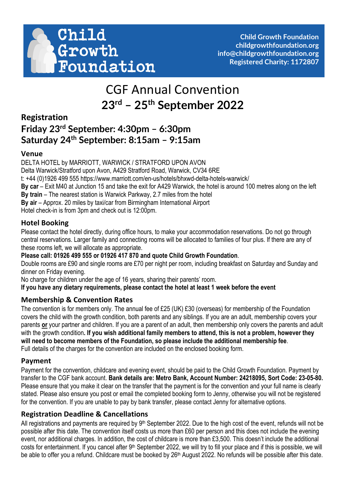

# CGF Annual Convention **23rd – 25th September 2022**

# **Registration Friday 23rd September: 4:30pm – 6:30pm Saturday 24th September: 8:15am – 9:15am**

#### **Venue**

DELTA HOTEL by MARRIOTT, WARWICK / STRATFORD UPON AVON Delta Warwick/Stratford upon Avon, A429 Stratford Road, Warwick, CV34 6RE t: +44 (0)1926 499 555 https://www.marriott.com/en-us/hotels/bhxwd-delta-hotels-warwick/ **By car** – Exit M40 at Junction 15 and take the exit for A429 Warwick, the hotel is around 100 metres along on the left **By train** – The nearest station is Warwick Parkway, 2.7 miles from the hotel **By air** – Approx. 20 miles by taxi/car from Birmingham International Airport Hotel check-in is from 3pm and check out is 12:00pm.

### **Hotel Booking**

Please contact the hotel directly, during office hours, to make your accommodation reservations. Do not go through central reservations. Larger family and connecting rooms will be allocated to families of four plus. If there are any of these rooms left, we will allocate as appropriate.

**Please call: 01926 499 555 or 01926 417 870 and quote Child Growth Foundation**.

Double rooms are £90 and single rooms are £70 per night per room, including breakfast on Saturday and Sunday and dinner on Friday evening.

No charge for children under the age of 16 years, sharing their parents' room.

**If you have any dietary requirements, please contact the hotel at least 1 week before the event**

## **Membership & Convention Rates**

The convention is for members only. The annual fee of £25 (UK) £30 (overseas) for membership of the Foundation covers the child with the growth condition, both parents and any siblings. If you are an adult, membership covers your parents **or** your partner and children. If you are a parent of an adult, then membership only covers the parents and adult with the growth condition**. If you wish additional family members to attend, this is not a problem, however they will need to become members of the Foundation, so please include the additional membership fee**. Full details of the charges for the convention are included on the enclosed booking form.

#### **Payment**

Payment for the convention, childcare and evening event, should be paid to the Child Growth Foundation. Payment by transfer to the CGF bank account. **Bank details are: Metro Bank, Account Number: 24218095, Sort Code: 23-05-80.** Please ensure that you make it clear on the transfer that the payment is for the convention and your full name is clearly stated. Please also ensure you post or email the completed booking form to Jenny, otherwise you will not be registered for the convention. If you are unable to pay by bank transfer, please contact Jenny for alternative options.

#### **Registration Deadline & Cancellations**

All registrations and payments are required by 9<sup>th</sup> September 2022. Due to the high cost of the event, refunds will not be possible after this date. The convention itself costs us more than £60 per person and this does not include the evening event, nor additional charges. In addition, the cost of childcare is more than £3,500. This doesn't include the additional costs for entertainment. If you cancel after 9th September 2022, we will try to fill your place and if this is possible, we will be able to offer you a refund. Childcare must be booked by 26<sup>th</sup> August 2022. No refunds will be possible after this date.